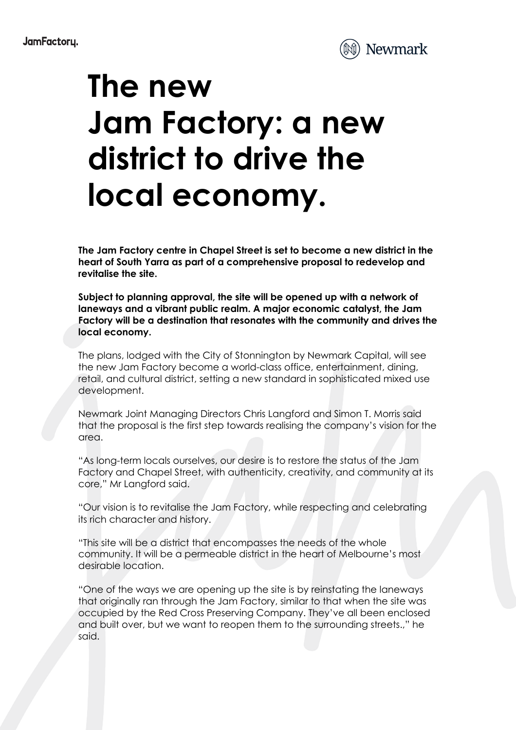

## **The new Jam Factory: a new district to drive the local economy.**

**The Jam Factory centre in Chapel Street is set to become a new district in the heart of South Yarra as part of a comprehensive proposal to redevelop and revitalise the site.** 

**Subject to planning approval, the site will be opened up with a network of laneways and a vibrant public realm. A major economic catalyst, the Jam Factory will be a destination that resonates with the community and drives the local economy.**

The plans, lodged with the City of Stonnington by Newmark Capital, will see the new Jam Factory become a world-class office, entertainment, dining, retail, and cultural district, setting a new standard in sophisticated mixed use development.

Newmark Joint Managing Directors Chris Langford and Simon T. Morris said that the proposal is the first step towards realising the company's vision for the area.

"As long-term locals ourselves, our desire is to restore the status of the Jam Factory and Chapel Street, with authenticity, creativity, and community at its core," Mr Langford said.

"Our vision is to revitalise the Jam Factory, while respecting and celebrating its rich character and history.

"This site will be a district that encompasses the needs of the whole community. It will be a permeable district in the heart of Melbourne's most desirable location.

"One of the ways we are opening up the site is by reinstating the laneways that originally ran through the Jam Factory, similar to that when the site was occupied by the Red Cross Preserving Company. They've all been enclosed and built over, but we want to reopen them to the surrounding streets.," he said.